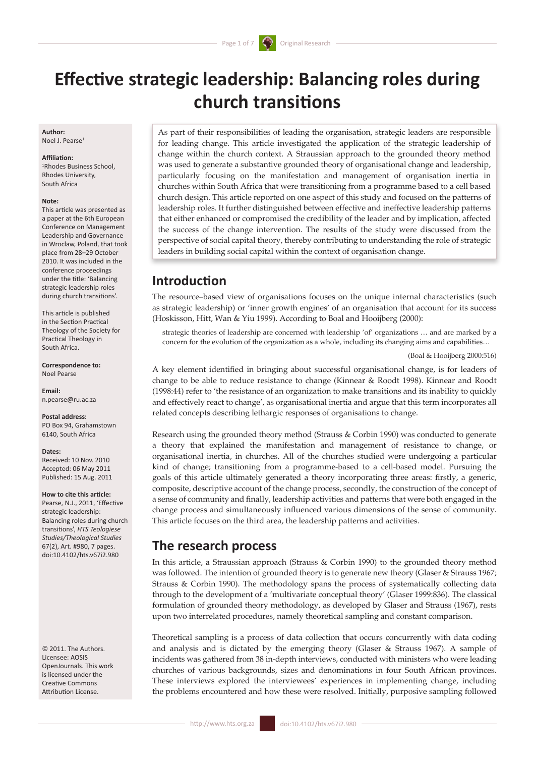# **Effective strategic leadership: Balancing roles during church transitions**

**Author:** Noel J. Pearse<sup>1</sup>

#### **Affiliation:**

1 Rhodes Business School, Rhodes University, South Africa

#### **Note:**

This article was presented as a paper at the 6th European Conference on Management Leadership and Governance in Wroclaw, Poland, that took place from 28–29 October 2010. It was included in the conference proceedings under the title: 'Balancing strategic leadership roles during church transitions'.

This article is published in the Section Practical Theology of the Society for Practical Theology in South Africa.

**Correspondence to:** Noel Pearse

**Email:** n.pearse@ru.ac.za

**Postal address:** PO Box 94, Grahamstown 6140, South Africa

#### **Dates:**

Received: 10 Nov. 2010 Accepted: 06 May 2011 Published: 15 Aug. 2011

#### **How to cite this article:**

Pearse, N.J., 2011, 'Effective strategic leadership: Balancing roles during church transitions', *HTS Teologiese Studies/Theological Studies*  67(2), Art. #980, 7 pages. doi:10.4102/hts.v67i2.980

© 2011. The Authors. Licensee: AOSIS OpenJournals. This work is licensed under the Creative Commons Attribution License.

As part of their responsibilities of leading the organisation, strategic leaders are responsible for leading change. This article investigated the application of the strategic leadership of change within the church context. A Straussian approach to the grounded theory method was used to generate a substantive grounded theory of organisational change and leadership, particularly focusing on the manifestation and management of organisation inertia in churches within South Africa that were transitioning from a programme based to a cell based church design. This article reported on one aspect of this study and focused on the patterns of leadership roles. It further distinguished between effective and ineffective leadership patterns that either enhanced or compromised the credibility of the leader and by implication, affected the success of the change intervention. The results of the study were discussed from the perspective of social capital theory, thereby contributing to understanding the role of strategic leaders in building social capital within the context of organisation change.

## **Introduction**

The resource–based view of organisations focuses on the unique internal characteristics (such as strategic leadership) or 'inner growth engines' of an organisation that account for its success (Hoskisson, Hitt, Wan & Yiu 1999). According to Boal and Hooijberg (2000):

strategic theories of leadership are concerned with leadership 'of' organizations … and are marked by a concern for the evolution of the organization as a whole, including its changing aims and capabilities…

(Boal & Hooijberg 2000:516)

A key element identified in bringing about successful organisational change, is for leaders of change to be able to reduce resistance to change (Kinnear & Roodt 1998). Kinnear and Roodt (1998:44) refer to 'the resistance of an organization to make transitions and its inability to quickly and effectively react to change', as organisational inertia and argue that this term incorporates all related concepts describing lethargic responses of organisations to change.

Research using the grounded theory method (Strauss & Corbin 1990) was conducted to generate a theory that explained the manifestation and management of resistance to change, or organisational inertia, in churches. All of the churches studied were undergoing a particular kind of change; transitioning from a programme-based to a cell-based model. Pursuing the goals of this article ultimately generated a theory incorporating three areas: firstly, a generic, composite, descriptive account of the change process, secondly, the construction of the concept of a sense of community and finally, leadership activities and patterns that were both engaged in the change process and simultaneously influenced various dimensions of the sense of community. This article focuses on the third area, the leadership patterns and activities.

### **The research process**

In this article, a Straussian approach (Strauss & Corbin 1990) to the grounded theory method was followed. The intention of grounded theory is to generate new theory (Glaser & Strauss 1967; Strauss & Corbin 1990). The methodology spans the process of systematically collecting data through to the development of a 'multivariate conceptual theory' (Glaser 1999:836). The classical formulation of grounded theory methodology, as developed by Glaser and Strauss (1967), rests upon two interrelated procedures, namely theoretical sampling and constant comparison.

Theoretical sampling is a process of data collection that occurs concurrently with data coding and analysis and is dictated by the emerging theory (Glaser & Strauss 1967). A sample of incidents was gathered from 38 in-depth interviews, conducted with ministers who were leading churches of various backgrounds, sizes and denominations in four South African provinces. These interviews explored the interviewees' experiences in implementing change, including the problems encountered and how these were resolved. Initially, purposive sampling followed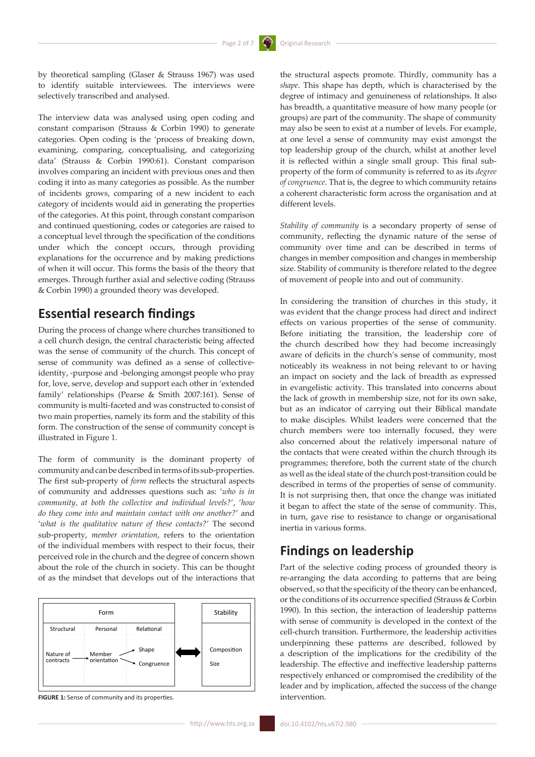by theoretical sampling (Glaser & Strauss 1967) was used to identify suitable interviewees. The interviews were selectively transcribed and analysed.

The interview data was analysed using open coding and constant comparison (Strauss & Corbin 1990) to generate categories. Open coding is the 'process of breaking down, examining, comparing, conceptualising, and categorizing data' (Strauss & Corbin 1990:61). Constant comparison involves comparing an incident with previous ones and then coding it into as many categories as possible. As the number of incidents grows, comparing of a new incident to each category of incidents would aid in generating the properties of the categories. At this point, through constant comparison and continued questioning, codes or categories are raised to a conceptual level through the specification of the conditions under which the concept occurs, through providing explanations for the occurrence and by making predictions of when it will occur. This forms the basis of the theory that emerges. Through further axial and selective coding (Strauss & Corbin 1990) a grounded theory was developed.

# **Essential research findings**

During the process of change where churches transitioned to a cell church design, the central characteristic being affected was the sense of community of the church. This concept of sense of community was defined as a sense of collectiveidentity, -purpose and -belonging amongst people who pray for, love, serve, develop and support each other in 'extended family' relationships (Pearse & Smith 2007:161). Sense of community is multi-faceted and was constructed to consist of two main properties, namely its form and the stability of this form. The construction of the sense of community concept is illustrated in Figure 1.

The form of community is the dominant property of community and can be described in terms of its sub-properties. The first sub-property of *form* reflects the structural aspects of community and addresses questions such as: '*who is in community, at both the collective and individual levels?*', '*how do they come into and maintain contact with one another?*' and '*what is the qualitative nature of these contacts?*' The second sub-property, *member orientation*, refers to the orientation of the individual members with respect to their focus, their perceived role in the church and the degree of concern shown about the role of the church in society. This can be thought of as the mindset that develops out of the interactions that



**FIGURE 1:** Sense of community and its properties.

the structural aspects promote. Thirdly, community has a *shape*. This shape has depth, which is characterised by the degree of intimacy and genuineness of relationships. It also has breadth, a quantitative measure of how many people (or groups) are part of the community. The shape of community may also be seen to exist at a number of levels. For example, at one level a sense of community may exist amongst the top leadership group of the church, whilst at another level it is reflected within a single small group. This final subproperty of the form of community is referred to as its *degree of congruence*. That is, the degree to which community retains a coherent characteristic form across the organisation and at different levels.

*Stability of community* is a secondary property of sense of community, reflecting the dynamic nature of the sense of community over time and can be described in terms of changes in member composition and changes in membership size. Stability of community is therefore related to the degree of movement of people into and out of community.

In considering the transition of churches in this study, it was evident that the change process had direct and indirect effects on various properties of the sense of community. Before initiating the transition, the leadership core of the church described how they had become increasingly aware of deficits in the church's sense of community, most noticeably its weakness in not being relevant to or having an impact on society and the lack of breadth as expressed in evangelistic activity. This translated into concerns about the lack of growth in membership size, not for its own sake, but as an indicator of carrying out their Biblical mandate to make disciples. Whilst leaders were concerned that the church members were too internally focused, they were also concerned about the relatively impersonal nature of the contacts that were created within the church through its programmes; therefore, both the current state of the church as well as the ideal state of the church post-transition could be described in terms of the properties of sense of community. It is not surprising then, that once the change was initiated it began to affect the state of the sense of community. This, in turn, gave rise to resistance to change or organisational inertia in various forms.

# **Findings on leadership**

Part of the selective coding process of grounded theory is re-arranging the data according to patterns that are being observed, so that the specificity of the theory can be enhanced, or the conditions of its occurrence specified (Strauss & Corbin 1990). In this section, the interaction of leadership patterns with sense of community is developed in the context of the cell-church transition. Furthermore, the leadership activities underpinning these patterns are described, followed by a description of the implications for the credibility of the leadership. The effective and ineffective leadership patterns respectively enhanced or compromised the credibility of the leader and by implication, affected the success of the change intervention.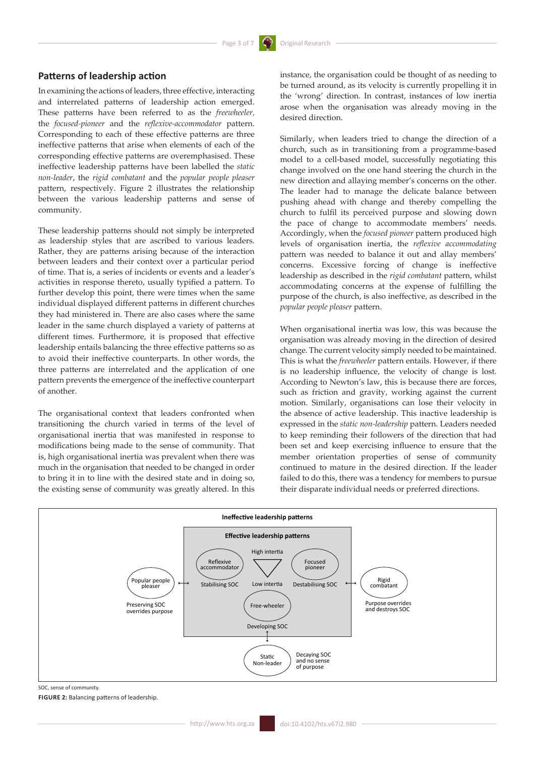### **Patterns of leadership action**

In examining the actions of leaders, three effective, interacting and interrelated patterns of leadership action emerged. These patterns have been referred to as the *freewheeler,* the *focused-pioneer* and the *reflexive-accommodator* pattern. Corresponding to each of these effective patterns are three ineffective patterns that arise when elements of each of the corresponding effective patterns are overemphasised. These ineffective leadership patterns have been labelled the *static non-leader*, the *rigid combatant* and the *popular people pleaser* pattern, respectively. Figure 2 illustrates the relationship between the various leadership patterns and sense of community.

These leadership patterns should not simply be interpreted as leadership styles that are ascribed to various leaders. Rather, they are patterns arising because of the interaction between leaders and their context over a particular period of time. That is, a series of incidents or events and a leader's activities in response thereto, usually typified a pattern. To further develop this point, there were times when the same individual displayed different patterns in different churches they had ministered in. There are also cases where the same leader in the same church displayed a variety of patterns at different times. Furthermore, it is proposed that effective leadership entails balancing the three effective patterns so as to avoid their ineffective counterparts. In other words, the three patterns are interrelated and the application of one pattern prevents the emergence of the ineffective counterpart of another.

The organisational context that leaders confronted when transitioning the church varied in terms of the level of organisational inertia that was manifested in response to modifications being made to the sense of community. That is, high organisational inertia was prevalent when there was much in the organisation that needed to be changed in order to bring it in to line with the desired state and in doing so, the existing sense of community was greatly altered. In this

instance, the organisation could be thought of as needing to be turned around, as its velocity is currently propelling it in the 'wrong' direction. In contrast, instances of low inertia arose when the organisation was already moving in the desired direction.

Similarly, when leaders tried to change the direction of a church, such as in transitioning from a programme-based model to a cell-based model, successfully negotiating this change involved on the one hand steering the church in the new direction and allaying member's concerns on the other. The leader had to manage the delicate balance between pushing ahead with change and thereby compelling the church to fulfil its perceived purpose and slowing down the pace of change to accommodate members' needs. Accordingly, when the *focused pioneer* pattern produced high levels of organisation inertia, the *reflexive accommodating* pattern was needed to balance it out and allay members' concerns. Excessive forcing of change is ineffective leadership as described in the *rigid combatant* pattern, whilst accommodating concerns at the expense of fulfilling the purpose of the church, is also ineffective, as described in the *popular people pleaser* pattern.

When organisational inertia was low, this was because the organisation was already moving in the direction of desired change. The current velocity simply needed to be maintained. This is what the *freewheeler* pattern entails. However, if there is no leadership influence, the velocity of change is lost. According to Newton's law, this is because there are forces, such as friction and gravity, working against the current motion. Similarly, organisations can lose their velocity in the absence of active leadership. This inactive leadership is expressed in the *static non-leadership* pattern. Leaders needed to keep reminding their followers of the direction that had been set and keep exercising influence to ensure that the member orientation properties of sense of community continued to mature in the desired direction. If the leader failed to do this, there was a tendency for members to pursue their disparate individual needs or preferred directions.



SOC, sense of community.

**FIGURE 2:** Balancing patterns of leadership.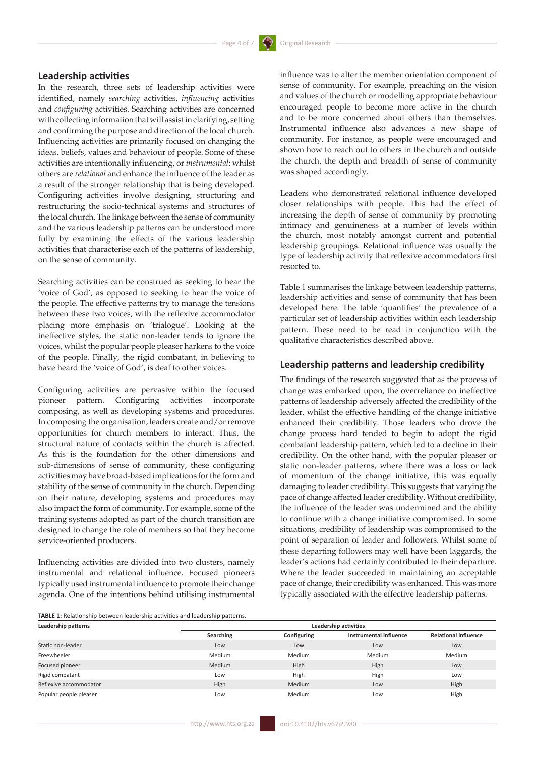### **Leadership activities**

In the research, three sets of leadership activities were identified, namely *searching* activities, *influencing* activities and *configuring* activities. Searching activities are concerned with collecting information that will assist in clarifying, setting and confirming the purpose and direction of the local church. Influencing activities are primarily focused on changing the ideas, beliefs, values and behaviour of people. Some of these activities are intentionally influencing, or *instrumental*; whilst others are *relational* and enhance the influence of the leader as a result of the stronger relationship that is being developed. Configuring activities involve designing, structuring and restructuring the socio-technical systems and structures of the local church. The linkage between the sense of community and the various leadership patterns can be understood more fully by examining the effects of the various leadership activities that characterise each of the patterns of leadership, on the sense of community.

Searching activities can be construed as seeking to hear the 'voice of God', as opposed to seeking to hear the voice of the people. The effective patterns try to manage the tensions between these two voices, with the reflexive accommodator placing more emphasis on 'trialogue'. Looking at the ineffective styles, the static non-leader tends to ignore the voices, whilst the popular people pleaser harkens to the voice of the people. Finally, the rigid combatant, in believing to have heard the 'voice of God', is deaf to other voices.

Configuring activities are pervasive within the focused pioneer pattern. Configuring activities incorporate composing, as well as developing systems and procedures. In composing the organisation, leaders create and/or remove opportunities for church members to interact. Thus, the structural nature of contacts within the church is affected. As this is the foundation for the other dimensions and sub-dimensions of sense of community, these configuring activities may have broad-based implications for the form and stability of the sense of community in the church. Depending on their nature, developing systems and procedures may also impact the form of community. For example, some of the training systems adopted as part of the church transition are designed to change the role of members so that they become service-oriented producers.

Influencing activities are divided into two clusters, namely instrumental and relational influence. Focused pioneers typically used instrumental influence to promote their change agenda. One of the intentions behind utilising instrumental

influence was to alter the member orientation component of sense of community. For example, preaching on the vision and values of the church or modelling appropriate behaviour encouraged people to become more active in the church and to be more concerned about others than themselves. Instrumental influence also advances a new shape of community. For instance, as people were encouraged and shown how to reach out to others in the church and outside the church, the depth and breadth of sense of community was shaped accordingly.

Leaders who demonstrated relational influence developed closer relationships with people. This had the effect of increasing the depth of sense of community by promoting intimacy and genuineness at a number of levels within the church, most notably amongst current and potential leadership groupings. Relational influence was usually the type of leadership activity that reflexive accommodators first resorted to.

Table 1 summarises the linkage between leadership patterns, leadership activities and sense of community that has been developed here. The table 'quantifies' the prevalence of a particular set of leadership activities within each leadership pattern. These need to be read in conjunction with the qualitative characteristics described above.

#### **Leadership patterns and leadership credibility**

The findings of the research suggested that as the process of change was embarked upon, the overreliance on ineffective patterns of leadership adversely affected the credibility of the leader, whilst the effective handling of the change initiative enhanced their credibility. Those leaders who drove the change process hard tended to begin to adopt the rigid combatant leadership pattern, which led to a decline in their credibility. On the other hand, with the popular pleaser or static non-leader patterns, where there was a loss or lack of momentum of the change initiative, this was equally damaging to leader credibility. This suggests that varying the pace of change affected leader credibility. Without credibility, the influence of the leader was undermined and the ability to continue with a change initiative compromised. In some situations, credibility of leadership was compromised to the point of separation of leader and followers. Whilst some of these departing followers may well have been laggards, the leader's actions had certainly contributed to their departure. Where the leader succeeded in maintaining an acceptable pace of change, their credibility was enhanced. This was more typically associated with the effective leadership patterns.

**TABLE 1:** Relationship between leadership activities and leadership patterns.

| Leadership patterns    | Leadership activities |               |                        |                             |
|------------------------|-----------------------|---------------|------------------------|-----------------------------|
|                        | Searching             | Configuring   | Instrumental influence | <b>Relational influence</b> |
| Static non-leader      | Low                   | Low           | Low                    | Low                         |
| Freewheeler            | Medium                | <b>Medium</b> | Medium                 | Medium                      |
| Focused pioneer        | <b>Medium</b>         | High          | High                   | Low                         |
| Rigid combatant        | Low                   | High          | High                   | Low                         |
| Reflexive accommodator | High                  | <b>Medium</b> | Low                    | High                        |
| Popular people pleaser | Low                   | <b>Medium</b> | Low                    | High                        |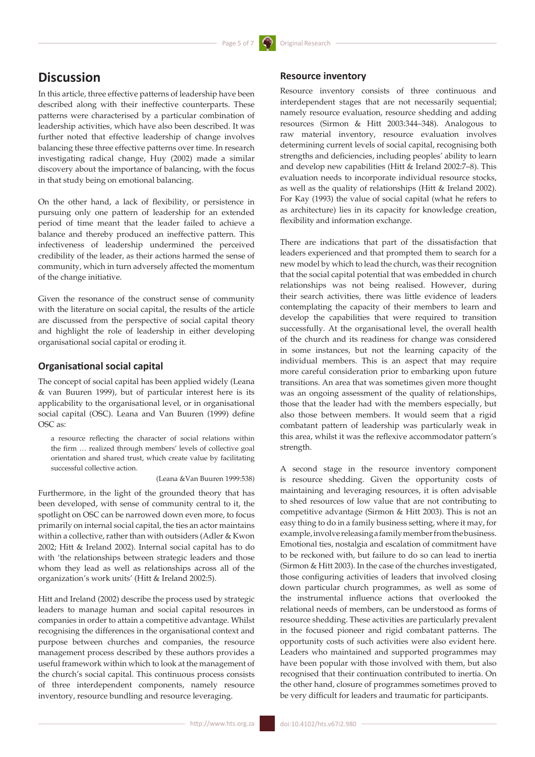# **Discussion**

In this article, three effective patterns of leadership have been described along with their ineffective counterparts. These patterns were characterised by a particular combination of leadership activities, which have also been described. It was further noted that effective leadership of change involves balancing these three effective patterns over time. In research investigating radical change, Huy (2002) made a similar discovery about the importance of balancing, with the focus in that study being on emotional balancing.

On the other hand, a lack of flexibility, or persistence in pursuing only one pattern of leadership for an extended period of time meant that the leader failed to achieve a balance and thereby produced an ineffective pattern. This infectiveness of leadership undermined the perceived credibility of the leader, as their actions harmed the sense of community, which in turn adversely affected the momentum of the change initiative.

Given the resonance of the construct sense of community with the literature on social capital, the results of the article are discussed from the perspective of social capital theory and highlight the role of leadership in either developing organisational social capital or eroding it.

#### **Organisational social capital**

The concept of social capital has been applied widely (Leana & van Buuren 1999), but of particular interest here is its applicability to the organisational level, or in organisational social capital (OSC). Leana and Van Buuren (1999) define OSC as:

a resource reflecting the character of social relations within the firm … realized through members' levels of collective goal orientation and shared trust, which create value by facilitating successful collective action.

(Leana &Van Buuren 1999:538)

Furthermore, in the light of the grounded theory that has been developed, with sense of community central to it, the spotlight on OSC can be narrowed down even more, to focus primarily on internal social capital, the ties an actor maintains within a collective, rather than with outsiders (Adler & Kwon 2002; Hitt & Ireland 2002). Internal social capital has to do with 'the relationships between strategic leaders and those whom they lead as well as relationships across all of the organization's work units' (Hitt & Ireland 2002:5).

Hitt and Ireland (2002) describe the process used by strategic leaders to manage human and social capital resources in companies in order to attain a competitive advantage. Whilst recognising the differences in the organisational context and purpose between churches and companies, the resource management process described by these authors provides a useful framework within which to look at the management of the church's social capital. This continuous process consists of three interdependent components, namely resource inventory, resource bundling and resource leveraging.

Resource inventory consists of three continuous and interdependent stages that are not necessarily sequential; namely resource evaluation, resource shedding and adding resources (Sirmon & Hitt 2003:344–348). Analogous to raw material inventory, resource evaluation involves determining current levels of social capital, recognising both strengths and deficiencies, including peoples' ability to learn and develop new capabilities (Hitt & Ireland 2002:7–8). This evaluation needs to incorporate individual resource stocks, as well as the quality of relationships (Hitt & Ireland 2002). For Kay (1993) the value of social capital (what he refers to as architecture) lies in its capacity for knowledge creation, flexibility and information exchange.

There are indications that part of the dissatisfaction that leaders experienced and that prompted them to search for a new model by which to lead the church, was their recognition that the social capital potential that was embedded in church relationships was not being realised. However, during their search activities, there was little evidence of leaders contemplating the capacity of their members to learn and develop the capabilities that were required to transition successfully. At the organisational level, the overall health of the church and its readiness for change was considered in some instances, but not the learning capacity of the individual members. This is an aspect that may require more careful consideration prior to embarking upon future transitions. An area that was sometimes given more thought was an ongoing assessment of the quality of relationships, those that the leader had with the members especially, but also those between members. It would seem that a rigid combatant pattern of leadership was particularly weak in this area, whilst it was the reflexive accommodator pattern's strength.

A second stage in the resource inventory component is resource shedding. Given the opportunity costs of maintaining and leveraging resources, it is often advisable to shed resources of low value that are not contributing to competitive advantage (Sirmon & Hitt 2003). This is not an easy thing to do in a family business setting, where it may, for example, involve releasing a family member from the business. Emotional ties, nostalgia and escalation of commitment have to be reckoned with, but failure to do so can lead to inertia (Sirmon & Hitt 2003). In the case of the churches investigated, those configuring activities of leaders that involved closing down particular church programmes, as well as some of the instrumental influence actions that overlooked the relational needs of members, can be understood as forms of resource shedding. These activities are particularly prevalent in the focused pioneer and rigid combatant patterns. The opportunity costs of such activities were also evident here. Leaders who maintained and supported programmes may have been popular with those involved with them, but also recognised that their continuation contributed to inertia. On the other hand, closure of programmes sometimes proved to be very difficult for leaders and traumatic for participants.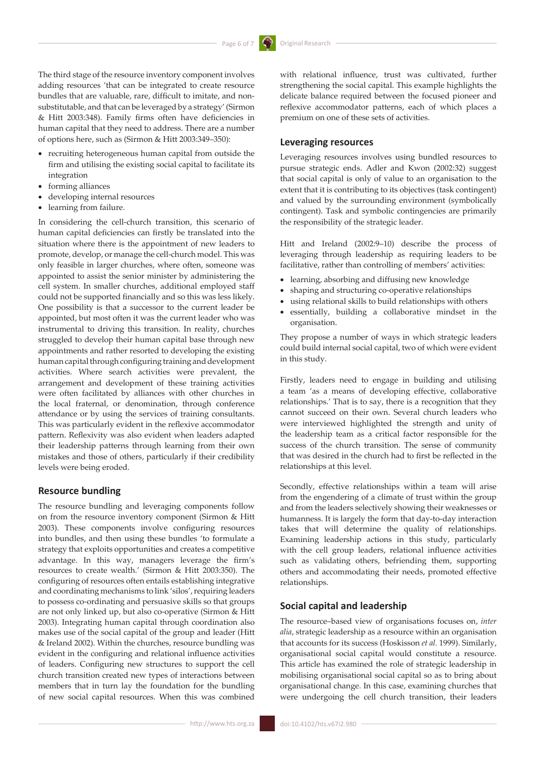The third stage of the resource inventory component involves adding resources 'that can be integrated to create resource bundles that are valuable, rare, difficult to imitate, and nonsubstitutable, and that can be leveraged by a strategy' (Sirmon & Hitt 2003:348). Family firms often have deficiencies in human capital that they need to address. There are a number of options here, such as (Sirmon & Hitt 2003:349–350):

- recruiting heterogeneous human capital from outside the firm and utilising the existing social capital to facilitate its integration
- • forming alliances
- developing internal resources
- • learning from failure.

In considering the cell-church transition, this scenario of human capital deficiencies can firstly be translated into the situation where there is the appointment of new leaders to promote, develop, or manage the cell-church model. This was only feasible in larger churches, where often, someone was appointed to assist the senior minister by administering the cell system. In smaller churches, additional employed staff could not be supported financially and so this was less likely. One possibility is that a successor to the current leader be appointed, but most often it was the current leader who was instrumental to driving this transition. In reality, churches struggled to develop their human capital base through new appointments and rather resorted to developing the existing human capital through configuring training and development activities. Where search activities were prevalent, the arrangement and development of these training activities were often facilitated by alliances with other churches in the local fraternal, or denomination, through conference attendance or by using the services of training consultants. This was particularly evident in the reflexive accommodator pattern. Reflexivity was also evident when leaders adapted their leadership patterns through learning from their own mistakes and those of others, particularly if their credibility levels were being eroded.

#### **Resource bundling**

The resource bundling and leveraging components follow on from the resource inventory component (Sirmon & Hitt 2003). These components involve configuring resources into bundles, and then using these bundles 'to formulate a strategy that exploits opportunities and creates a competitive advantage. In this way, managers leverage the firm's resources to create wealth.' (Sirmon & Hitt 2003:350). The configuring of resources often entails establishing integrative and coordinating mechanisms to link 'silos', requiring leaders to possess co-ordinating and persuasive skills so that groups are not only linked up, but also co-operative (Sirmon & Hitt 2003). Integrating human capital through coordination also makes use of the social capital of the group and leader (Hitt & Ireland 2002). Within the churches, resource bundling was evident in the configuring and relational influence activities of leaders. Configuring new structures to support the cell church transition created new types of interactions between members that in turn lay the foundation for the bundling of new social capital resources. When this was combined

with relational influence, trust was cultivated, further strengthening the social capital. This example highlights the delicate balance required between the focused pioneer and reflexive accommodator patterns, each of which places a premium on one of these sets of activities.

### **Leveraging resources**

Leveraging resources involves using bundled resources to pursue strategic ends. Adler and Kwon (2002:32) suggest that social capital is only of value to an organisation to the extent that it is contributing to its objectives (task contingent) and valued by the surrounding environment (symbolically contingent). Task and symbolic contingencies are primarily the responsibility of the strategic leader.

Hitt and Ireland (2002:9–10) describe the process of leveraging through leadership as requiring leaders to be facilitative, rather than controlling of members' activities:

- • learning, absorbing and diffusing new knowledge
- shaping and structuring co-operative relationships
- • using relational skills to build relationships with others
- essentially, building a collaborative mindset in the organisation.

They propose a number of ways in which strategic leaders could build internal social capital, two of which were evident in this study.

Firstly, leaders need to engage in building and utilising a team 'as a means of developing effective, collaborative relationships.' That is to say, there is a recognition that they cannot succeed on their own. Several church leaders who were interviewed highlighted the strength and unity of the leadership team as a critical factor responsible for the success of the church transition. The sense of community that was desired in the church had to first be reflected in the relationships at this level.

Secondly, effective relationships within a team will arise from the engendering of a climate of trust within the group and from the leaders selectively showing their weaknesses or humanness. It is largely the form that day-to-day interaction takes that will determine the quality of relationships. Examining leadership actions in this study, particularly with the cell group leaders, relational influence activities such as validating others, befriending them, supporting others and accommodating their needs, promoted effective relationships.

### **Social capital and leadership**

The resource–based view of organisations focuses on, *inter alia*, strategic leadership as a resource within an organisation that accounts for its success (Hoskisson *et al.* 1999). Similarly, organisational social capital would constitute a resource. This article has examined the role of strategic leadership in mobilising organisational social capital so as to bring about organisational change. In this case, examining churches that were undergoing the cell church transition, their leaders